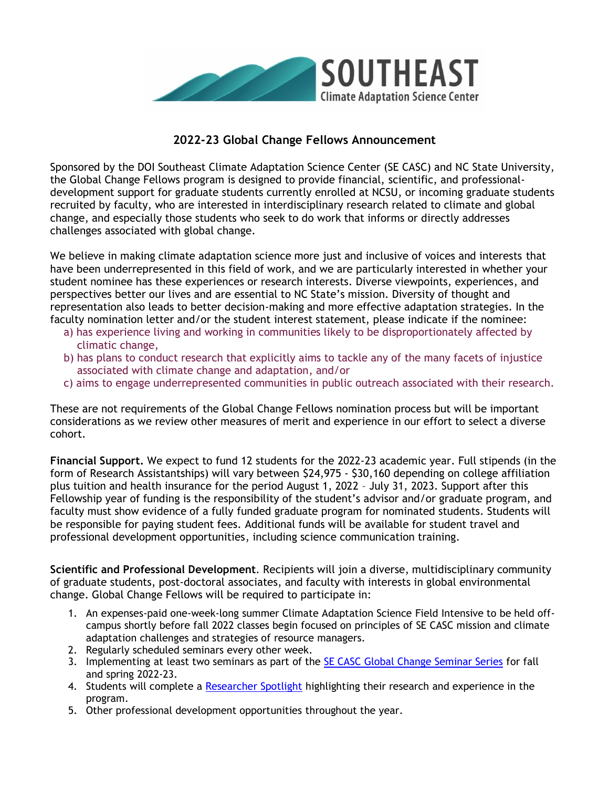

## **2022-23 Global Change Fellows Announcement**

Sponsored by the DOI Southeast Climate Adaptation Science Center (SE CASC) and NC State University, the Global Change Fellows program is designed to provide financial, scientific, and professionaldevelopment support for graduate students currently enrolled at NCSU, or incoming graduate students recruited by faculty, who are interested in interdisciplinary research related to climate and global change, and especially those students who seek to do work that informs or directly addresses challenges associated with global change.

We believe in making climate adaptation science more just and inclusive of voices and interests that have been underrepresented in this field of work, and we are particularly interested in whether your student nominee has these experiences or research interests. Diverse viewpoints, experiences, and perspectives better our lives and are essential to NC State's mission. Diversity of thought and representation also leads to better decision-making and more effective adaptation strategies. In the faculty nomination letter and/or the student interest statement, please indicate if the nominee:

- a) has experience living and working in communities likely to be disproportionately affected by climatic change,
- b) has plans to conduct research that explicitly aims to tackle any of the many facets of injustice associated with climate change and adaptation, and/or
- c) aims to engage underrepresented communities in public outreach associated with their research.

These are not requirements of the Global Change Fellows nomination process but will be important considerations as we review other measures of merit and experience in our effort to select a diverse cohort.

**Financial Support.** We expect to fund 12 students for the 2022-23 academic year. Full stipends (in the form of Research Assistantships) will vary between \$24,975 - \$30,160 depending on college affiliation plus tuition and health insurance for the period August 1, 2022 – July 31, 2023. Support after this Fellowship year of funding is the responsibility of the student's advisor and/or graduate program, and faculty must show evidence of a fully funded graduate program for nominated students. Students will be responsible for paying student fees. Additional funds will be available for student travel and professional development opportunities, including science communication training.

**Scientific and Professional Development**. Recipients will join a diverse, multidisciplinary community of graduate students, post-doctoral associates, and faculty with interests in global environmental change. Global Change Fellows will be required to participate in:

- 1. An expenses-paid one-week-long summer Climate Adaptation Science Field Intensive to be held offcampus shortly before fall 2022 classes begin focused on principles of SE CASC mission and climate adaptation challenges and strategies of resource managers.
- 2. Regularly scheduled seminars every other week.
- 3. Implementing at least two seminars as part of the **SE CASC Global Change Seminar Series** for fall and spring 2022-23.
- 4. Students will complete a [Researcher Spotlight](https://secasc.ncsu.edu/category/research-highlights/) highlighting their research and experience in the program.
- 5. Other professional development opportunities throughout the year.